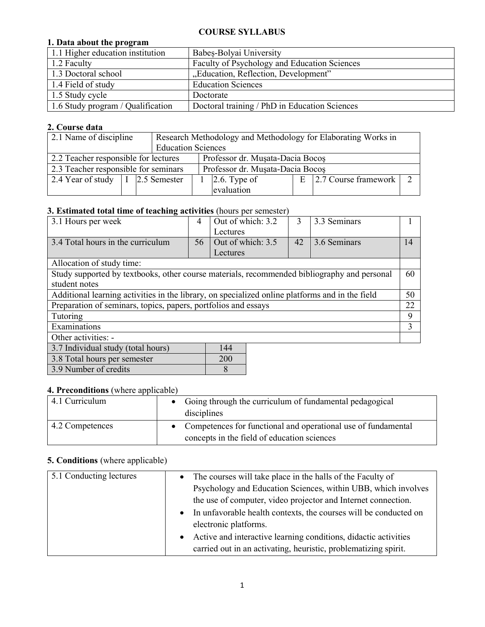#### **COURSE SYLLABUS**

#### **1. Data about the program**

| 1.1 Higher education institution  | Babes-Bolyai University                       |
|-----------------------------------|-----------------------------------------------|
| 1.2 Faculty                       | Faculty of Psychology and Education Sciences  |
| 1.3 Doctoral school               | "Education, Reflection, Development"          |
| 1.4 Field of study                | <b>Education Sciences</b>                     |
| 1.5 Study cycle                   | Doctorate                                     |
| 1.6 Study program / Qualification | Doctoral training / PhD in Education Sciences |

### **2. Course data**

| 2.1 Name of discipline                                                 |                                                                          |  | Research Methodology and Methodology for Elaborating Works in |              |  |                            |  |
|------------------------------------------------------------------------|--------------------------------------------------------------------------|--|---------------------------------------------------------------|--------------|--|----------------------------|--|
|                                                                        |                                                                          |  | <b>Education Sciences</b>                                     |              |  |                            |  |
|                                                                        | 2.2 Teacher responsible for lectures<br>Professor dr. Musata-Dacia Bocos |  |                                                               |              |  |                            |  |
| 2.3 Teacher responsible for seminars                                   |                                                                          |  | Professor dr. Musata-Dacia Bocos                              |              |  |                            |  |
| 2.4 Year of study $\begin{array}{ c c c c c } \hline 1 & 2.5$ Semester |                                                                          |  |                                                               | 2.6. Type of |  | $E$ 2.7 Course framework 2 |  |
|                                                                        |                                                                          |  |                                                               | evaluation   |  |                            |  |

### **3. Estimated total time of teaching activities** (hours per semester)

| -<br>3.1 Hours per week                                                                         | 4  | Out of which: 3.2 | 3  | 3.3 Seminars |    |  |
|-------------------------------------------------------------------------------------------------|----|-------------------|----|--------------|----|--|
|                                                                                                 |    | Lectures          |    |              |    |  |
| 3.4 Total hours in the curriculum                                                               | 56 | Out of which: 3.5 | 42 | 3.6 Seminars | 14 |  |
|                                                                                                 |    | Lectures          |    |              |    |  |
| Allocation of study time:                                                                       |    |                   |    |              |    |  |
| Study supported by textbooks, other course materials, recommended bibliography and personal     |    |                   |    |              | 60 |  |
| student notes                                                                                   |    |                   |    |              |    |  |
| Additional learning activities in the library, on specialized online platforms and in the field |    |                   |    |              |    |  |
| Preparation of seminars, topics, papers, portfolios and essays                                  |    |                   |    |              |    |  |
| Tutoring                                                                                        |    |                   |    |              |    |  |
| Examinations                                                                                    |    |                   |    |              |    |  |
| Other activities: -                                                                             |    |                   |    |              |    |  |
| 3.7 Individual study (total hours)                                                              |    | 144               |    |              |    |  |
| 3.8 Total hours per semester<br>200                                                             |    |                   |    |              |    |  |

| <b>4. Preconditions</b> (where applicable) |  |
|--------------------------------------------|--|

3.9 Number of credits 8

| <br>$\ldots$ and $\ldots$ $\ldots$ |                                                                                                                |  |  |  |
|------------------------------------|----------------------------------------------------------------------------------------------------------------|--|--|--|
| 4.1 Curriculum                     | • Going through the curriculum of fundamental pedagogical<br>disciplines                                       |  |  |  |
| 4.2 Competences                    | • Competences for functional and operational use of fundamental<br>concepts in the field of education sciences |  |  |  |

## **5. Conditions** (where applicable)

| 5.1 Conducting lectures | The courses will take place in the halls of the Faculty of<br>$\bullet$       |
|-------------------------|-------------------------------------------------------------------------------|
|                         | Psychology and Education Sciences, within UBB, which involves                 |
|                         | the use of computer, video projector and Internet connection.                 |
|                         | In unfavorable health contexts, the courses will be conducted on<br>$\bullet$ |
|                         | electronic platforms.                                                         |
|                         | Active and interactive learning conditions, didactic activities<br>$\bullet$  |
|                         | carried out in an activating, heuristic, problematizing spirit.               |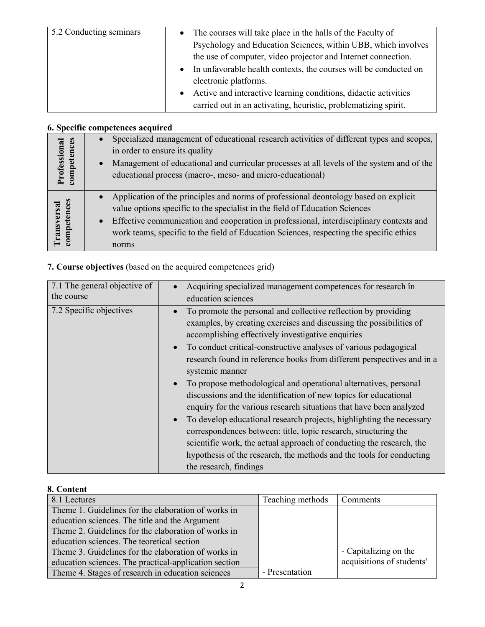| 5.2 Conducting seminars | The courses will take place in the halls of the Faculty of                    |
|-------------------------|-------------------------------------------------------------------------------|
|                         | Psychology and Education Sciences, within UBB, which involves                 |
|                         | the use of computer, video projector and Internet connection.                 |
|                         | In unfavorable health contexts, the courses will be conducted on<br>$\bullet$ |
|                         | electronic platforms.                                                         |
|                         | Active and interactive learning conditions, didactic activities               |
|                         | carried out in an activating, heuristic, problematizing spirit.               |

# **6. Specific competences acquired**

| petences<br>Professional<br>$\frac{1}{2}$ | $\bullet$              | Specialized management of educational research activities of different types and scopes,<br>in order to ensure its quality<br>Management of educational and curricular processes at all levels of the system and of the<br>educational process (macro-, meso- and micro-educational)                                                                               |
|-------------------------------------------|------------------------|--------------------------------------------------------------------------------------------------------------------------------------------------------------------------------------------------------------------------------------------------------------------------------------------------------------------------------------------------------------------|
| tences<br><b>Transversa</b><br>comper     | $\bullet$<br>$\bullet$ | Application of the principles and norms of professional deontology based on explicit<br>value options specific to the specialist in the field of Education Sciences<br>Effective communication and cooperation in professional, interdisciplinary contexts and<br>work teams, specific to the field of Education Sciences, respecting the specific ethics<br>norms |

# **7. Course objectives** (based on the acquired competences grid)

| 7.1 The general objective of | Acquiring specialized management competences for research în                                                                                                                                                                                                                                                                                                                                                                                                                                                                                                                                                                                                                                                                                                                                                                                                                                                                           |
|------------------------------|----------------------------------------------------------------------------------------------------------------------------------------------------------------------------------------------------------------------------------------------------------------------------------------------------------------------------------------------------------------------------------------------------------------------------------------------------------------------------------------------------------------------------------------------------------------------------------------------------------------------------------------------------------------------------------------------------------------------------------------------------------------------------------------------------------------------------------------------------------------------------------------------------------------------------------------|
| the course                   | education sciences                                                                                                                                                                                                                                                                                                                                                                                                                                                                                                                                                                                                                                                                                                                                                                                                                                                                                                                     |
| 7.2 Specific objectives      | To promote the personal and collective reflection by providing<br>$\bullet$<br>examples, by creating exercises and discussing the possibilities of<br>accomplishing effectively investigative enquiries<br>To conduct critical-constructive analyses of various pedagogical<br>$\bullet$<br>research found in reference books from different perspectives and in a<br>systemic manner<br>To propose methodological and operational alternatives, personal<br>discussions and the identification of new topics for educational<br>enquiry for the various research situations that have been analyzed<br>To develop educational research projects, highlighting the necessary<br>$\bullet$<br>correspondences between: title, topic research, structuring the<br>scientific work, the actual approach of conducting the research, the<br>hypothesis of the research, the methods and the tools for conducting<br>the research, findings |

### **8. Content**

| 8.1 Lectures                                          | Teaching methods | Comments                  |
|-------------------------------------------------------|------------------|---------------------------|
| Theme 1. Guidelines for the elaboration of works in   |                  |                           |
| education sciences. The title and the Argument        |                  |                           |
| Theme 2. Guidelines for the elaboration of works in   |                  |                           |
| education sciences. The teoretical section            |                  |                           |
| Theme 3. Guidelines for the elaboration of works in   |                  | - Capitalizing on the     |
| education sciences. The practical-application section |                  | acquisitions of students' |
| Theme 4. Stages of research in education sciences     | - Presentation   |                           |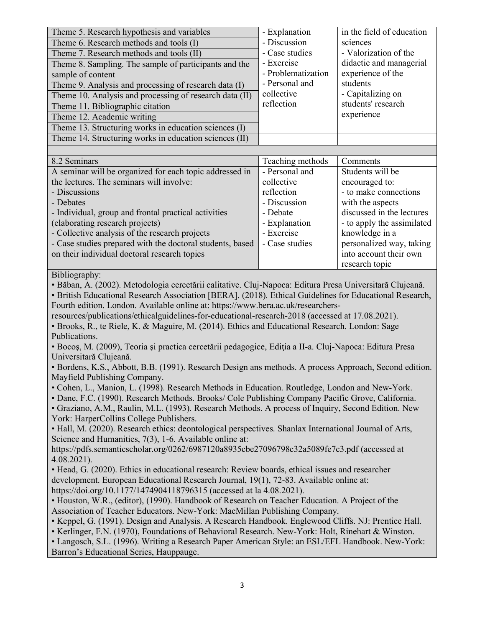| Theme 5. Research hypothesis and variables                                                               | - Explanation      | in the field of education  |  |  |  |
|----------------------------------------------------------------------------------------------------------|--------------------|----------------------------|--|--|--|
| Theme 6. Research methods and tools (I)                                                                  | - Discussion       | sciences                   |  |  |  |
| Theme 7. Research methods and tools (II)                                                                 | - Case studies     | - Valorization of the      |  |  |  |
| Theme 8. Sampling. The sample of participants and the                                                    | - Exercise         | didactic and managerial    |  |  |  |
| sample of content                                                                                        | - Problematization | experience of the          |  |  |  |
| Theme 9. Analysis and processing of research data (I)                                                    | - Personal and     | students                   |  |  |  |
| Theme 10. Analysis and processing of research data (II)                                                  | collective         | - Capitalizing on          |  |  |  |
| Theme 11. Bibliographic citation                                                                         | reflection         | students' research         |  |  |  |
| Theme 12. Academic writing                                                                               |                    | experience                 |  |  |  |
| Theme 13. Structuring works in education sciences (I)                                                    |                    |                            |  |  |  |
| Theme 14. Structuring works in education sciences (II)                                                   |                    |                            |  |  |  |
|                                                                                                          |                    |                            |  |  |  |
| 8.2 Seminars                                                                                             | Teaching methods   | Comments                   |  |  |  |
| A seminar will be organized for each topic addressed in                                                  | - Personal and     | Students will be           |  |  |  |
| the lectures. The seminars will involve:                                                                 | collective         | encouraged to:             |  |  |  |
| - Discussions                                                                                            | reflection         | - to make connections      |  |  |  |
| - Debates                                                                                                | - Discussion       | with the aspects           |  |  |  |
| - Individual, group and frontal practical activities                                                     | - Debate           | discussed in the lectures  |  |  |  |
| (elaborating research projects)                                                                          | - Explanation      | - to apply the assimilated |  |  |  |
| - Collective analysis of the research projects                                                           | - Exercise         | knowledge in a             |  |  |  |
| - Case studies prepared with the doctoral students, based                                                | - Case studies     | personalized way, taking   |  |  |  |
| on their individual doctoral research topics                                                             |                    | into account their own     |  |  |  |
|                                                                                                          |                    | research topic             |  |  |  |
| Bibliography:                                                                                            |                    |                            |  |  |  |
| · Băban, A. (2002). Metodologia cercetării calitative. Cluj-Napoca: Editura Presa Universitară Clujeană. |                    |                            |  |  |  |
| • British Educational Research Association [BERA]. (2018). Ethical Guidelines for Educational Research,  |                    |                            |  |  |  |
| Fourth edition. London. Available online at: https://www.bera.ac.uk/researchers-                         |                    |                            |  |  |  |
| resources/publications/ethicalguidelines-for-educational-research-2018 (accessed at 17.08.2021).         |                    |                            |  |  |  |
| • Brooks, R., te Riele, K. & Maguire, M. (2014). Ethics and Educational Research. London: Sage           |                    |                            |  |  |  |
| Publications.                                                                                            |                    |                            |  |  |  |
| • Bocoș, M. (2009), Teoria și practica cercetării pedagogice, Ediția a II-a. Cluj-Napoca: Editura Presa  |                    |                            |  |  |  |
| Universitară Clujeană.                                                                                   |                    |                            |  |  |  |
| • Bordens, K.S., Abbott, B.B. (1991). Research Design ans methods. A process Approach, Second edition.   |                    |                            |  |  |  |
| Mayfield Publishing Company.                                                                             |                    |                            |  |  |  |
| • Cohen, L., Manion, L. (1998). Research Methods in Education. Routledge, London and New-York.           |                    |                            |  |  |  |
| • Dane, F.C. (1990). Research Methods. Brooks/ Cole Publishing Company Pacific Grove, California.        |                    |                            |  |  |  |
| • Graziano, A.M., Raulin, M.L. (1993). Research Methods. A process of Inquiry, Second Edition. New       |                    |                            |  |  |  |
| York: HarperCollins College Publishers.                                                                  |                    |                            |  |  |  |
| • Hall, M. (2020). Research ethics: deontological perspectives. Shanlax International Journal of Arts,   |                    |                            |  |  |  |
| Science and Humanities, 7(3), 1-6. Available online at:                                                  |                    |                            |  |  |  |
| https://pdfs.semanticscholar.org/0262/6987120a8935cbe27096798c32a5089fe7c3.pdf (accessed at              |                    |                            |  |  |  |
| $4.08.2021$ ).                                                                                           |                    |                            |  |  |  |
| • Head, G. (2020). Ethics in educational research: Review boards, ethical issues and researcher          |                    |                            |  |  |  |
| development. European Educational Research Journal, 19(1), 72-83. Available online at:                   |                    |                            |  |  |  |
| https://doi.org/10.1177/1474904118796315 (accessed at la 4.08.2021).                                     |                    |                            |  |  |  |
| • Houston, W.R., (editor), (1990). Handbook of Research on Teacher Education. A Project of the           |                    |                            |  |  |  |
| Association of Teacher Educators. New-York: MacMillan Publishing Company.                                |                    |                            |  |  |  |
| • Keppel, G. (1991). Design and Analysis. A Research Handbook. Englewood Cliffs. NJ: Prentice Hall.      |                    |                            |  |  |  |
| • Kerlinger, F.N. (1970), Foundations of Behavioral Research. New-York: Holt, Rinehart & Winston.        |                    |                            |  |  |  |
| • Langosch, S.L. (1996). Writing a Research Paper American Style: an ESL/EFL Handbook. New-York:         |                    |                            |  |  |  |
| Barron's Educational Series, Hauppauge.                                                                  |                    |                            |  |  |  |